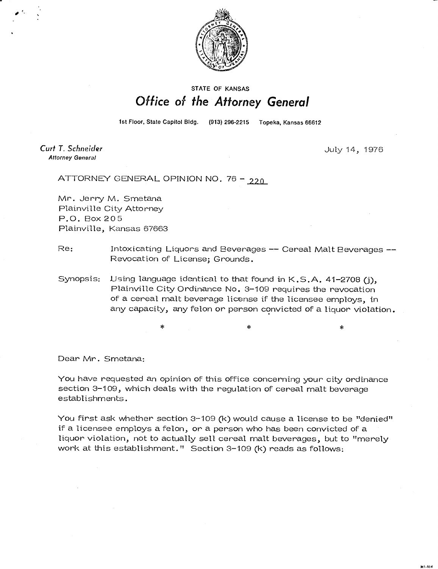

## **STATE OF KANSAS** Office of the Attorney General

1st Floor, State Capitol Bldg. (913) 296-2215 Topeka, Kansas 66612

Curt T. Schneider **Attorney General** 

July 14, 1976

ATTORNEY GENERAL OPINION NO. 76 -  $220$ 

Mr. Jerry M. Smetana Plainville City Attorney P.O. Box 205 Plainville, Kansas 67663

Re: Intoxicating Liquors and Beverages -- Cereal Malt Beverages --Revocation of License; Grounds.

Synopsis: Using language identical to that found in K.S.A. 41-2708 (j), Plainville City Ordinance No. 3-109 requires the revocation of a cereal malt beverage license if the licensee employs, in any capacity, any felon or person convicted of a liquor violation.

Dear Mr. Smetana:

You have requested an opinion of this office concerning your city ordinance section 3-109, which deals with the regulation of cereal malt beverage establishments.

You first ask whether section 3-109 (k) would cause a license to be "denied" if a licensee employs a felon, or a person who has been convicted of a liquor violation, not to actually sell cereal malt beverages, but to "merely work at this establishment." Section 3-109 (k) reads as follows: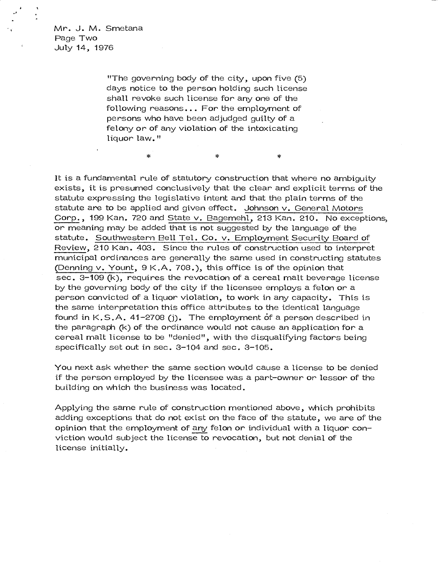Mr. J. M. Smetana Page Two July 14, 1976

> "The governing body of the city, upon five (5) days notice to the person holding such license shall revoke such license for any one of the following reasons... For the employment of persons who have been adjudged guilty of a felony or of any violation of the intoxicating liquor law."

> > $\ast$

 $\ast$ 

 $\ast$ 

It is a fundamental rule of statutory construction that where no ambiguity exists, it is presumed conclusively that the clear and explicit terms of the statute expressing the legislative intent and that the plain terms of the statute are to be applied and given effect. Johnson v. General Motors Corp., 199 Kan. 720 and State v. Bagemehl, 213 Kan. 210. No exceptions, or meaning may be added that is not suggested by the language of the statute. Southwestern Bell Tel. Co. v. Employment Security Board of Review, 210 Kan. 403. Since the rules of construction used to interpret municipal ordinances are generally the same used in constructing statutes (Denning  $v.$  Yount,  $9K.A. 708.$ ), this office is of the opinion that sec. 3-109 (k), requires the revocation of a cereal malt beverage license by the governing body of the city if the licensee employs a felon or a person convicted of a liquor violation, to work in any capacity. This is the same interpretation this office attributes to the identical language found in  $K.S.A.$  41-2708 (j). The employment of a person described in the paragraph (k) of the ordinance would not cause an application for a cereal malt license to be "denied", with the disqualifying factors being specifically set out in sec. 3-104 and sec. 3-105.

You next ask whether the same section would cause a license to be denied if the person employed by the licensee was a part-owner or lessor of the building on which the business was located.

Applying the same rule of construction mentioned above, which prohibits adding exceptions that do not exist on the face of the statute, we are of the opinion that the employment of any felon or individual with a liquor conviction would subject the license to revocation, but not denial of the license initially.